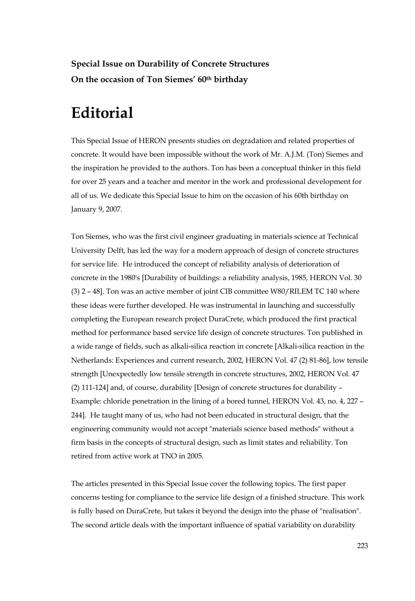**Special Issue on Durability of Concrete Structures On the occasion of Ton Siemes' 60th birthday** 

## **Editorial**

This Special Issue of HERON presents studies on degradation and related properties of concrete. It would have been impossible without the work of Mr. A.J.M. (Ton) Siemes and the inspiration he provided to the authors. Ton has been a conceptual thinker in this field for over 25 years and a teacher and mentor in the work and professional development for all of us. We dedicate this Special Issue to him on the occasion of his 60th birthday on January 9, 2007.

Ton Siemes, who was the first civil engineer graduating in materials science at Technical University Delft, has led the way for a modern approach of design of concrete structures for service life. He introduced the concept of reliability analysis of deterioration of concrete in the 1980's [Durability of buildings: a reliability analysis, 1985, HERON Vol. 30 (3) 2 – 48]. Ton was an active member of joint CIB committee W80/RILEM TC 140 where these ideas were further developed. He was instrumental in launching and successfully completing the European research project DuraCrete, which produced the first practical method for performance based service life design of concrete structures. Ton published in a wide range of fields, such as alkali-silica reaction in concrete [Alkali-silica reaction in the Netherlands: Experiences and current research, 2002, HERON Vol. 47 (2) 81-86], low tensile strength [Unexpectedly low tensile strength in concrete structures, 2002, HERON Vol. 47 (2) 111-124] and, of course, durability [Design of concrete structures for durability – Example: chloride penetration in the lining of a bored tunnel, HERON Vol. 43, no. 4, 227 – 244]. He taught many of us, who had not been educated in structural design, that the engineering community would not accept "materials science based methods" without a firm basis in the concepts of structural design, such as limit states and reliability. Ton retired from active work at TNO in 2005.

The articles presented in this Special Issue cover the following topics. The first paper concerns testing for compliance to the service life design of a finished structure. This work is fully based on DuraCrete, but takes it beyond the design into the phase of "realisation". The second article deals with the important influence of spatial variability on durability